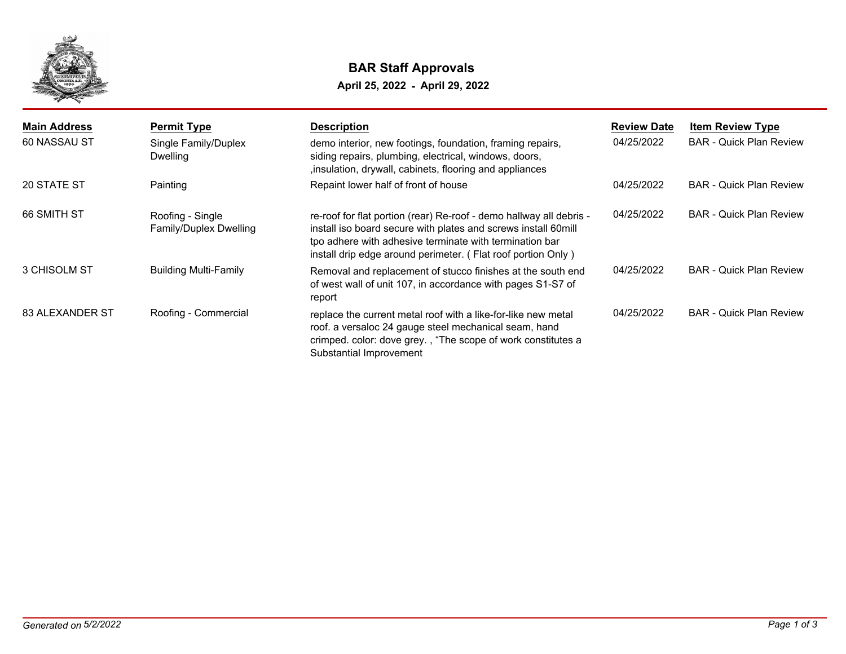

## **BAR Staff Approvals**

**April 25, 2022 - April 29, 2022**

| <b>Main Address</b><br>60 NASSAU ST | <b>Permit Type</b><br>Single Family/Duplex<br>Dwelling | <b>Description</b><br>demo interior, new footings, foundation, framing repairs,<br>siding repairs, plumbing, electrical, windows, doors,<br>, insulation, drywall, cabinets, flooring and appliances                                                             | <b>Review Date</b><br>04/25/2022 | <b>Item Review Type</b><br><b>BAR - Quick Plan Review</b> |
|-------------------------------------|--------------------------------------------------------|------------------------------------------------------------------------------------------------------------------------------------------------------------------------------------------------------------------------------------------------------------------|----------------------------------|-----------------------------------------------------------|
| 20 STATE ST                         | Painting                                               | Repaint lower half of front of house                                                                                                                                                                                                                             | 04/25/2022                       | <b>BAR</b> - Quick Plan Review                            |
| 66 SMITH ST                         | Roofing - Single<br>Family/Duplex Dwelling             | re-roof for flat portion (rear) Re-roof - demo hallway all debris -<br>install iso board secure with plates and screws install 60mill<br>tpo adhere with adhesive terminate with termination bar<br>install drip edge around perimeter. (Flat roof portion Only) | 04/25/2022                       | <b>BAR</b> - Quick Plan Review                            |
| 3 CHISOLM ST                        | <b>Building Multi-Family</b>                           | Removal and replacement of stucco finishes at the south end<br>of west wall of unit 107, in accordance with pages S1-S7 of<br>report                                                                                                                             | 04/25/2022                       | <b>BAR</b> - Quick Plan Review                            |
| 83 ALEXANDER ST                     | Roofing - Commercial                                   | replace the current metal roof with a like-for-like new metal<br>roof. a versaloc 24 gauge steel mechanical seam, hand<br>crimped. color: dove grey., "The scope of work constitutes a<br>Substantial Improvement                                                | 04/25/2022                       | <b>BAR</b> - Quick Plan Review                            |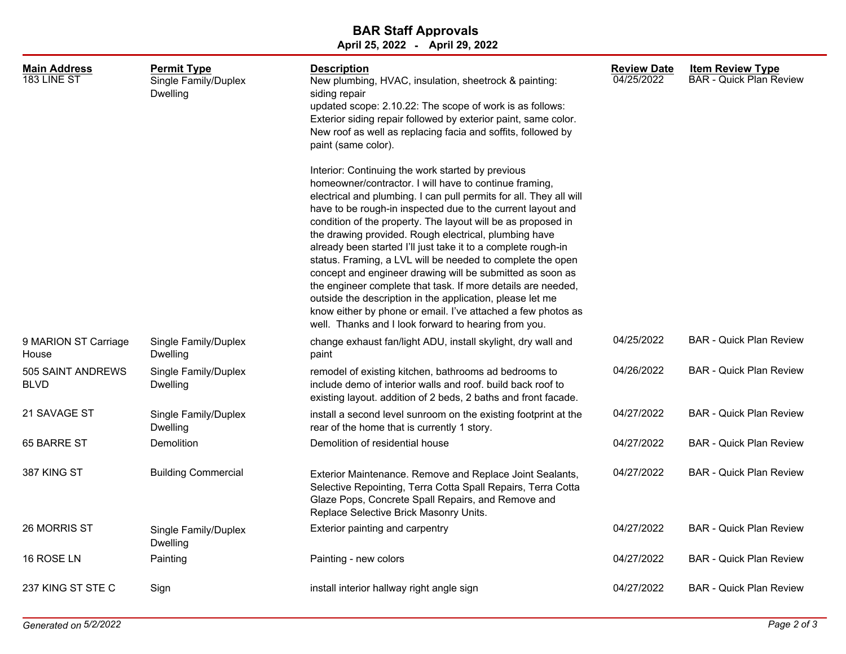## **April 25, 2022 - April 29, 2022 BAR Staff Approvals**

| <b>Main Address</b><br>183 LINE ST | <b>Permit Type</b><br>Single Family/Duplex<br><b>Dwelling</b> | <b>Description</b><br>New plumbing, HVAC, insulation, sheetrock & painting:<br>siding repair<br>updated scope: 2.10.22: The scope of work is as follows:<br>Exterior siding repair followed by exterior paint, same color.<br>New roof as well as replacing facia and soffits, followed by<br>paint (same color).                                                                                                                                                                                                                                                                                                                                                                                                                                                                                                          | <b>Review Date</b><br>04/25/2022 | Item Review Type<br><b>BAR - Quick Plan Review</b> |
|------------------------------------|---------------------------------------------------------------|----------------------------------------------------------------------------------------------------------------------------------------------------------------------------------------------------------------------------------------------------------------------------------------------------------------------------------------------------------------------------------------------------------------------------------------------------------------------------------------------------------------------------------------------------------------------------------------------------------------------------------------------------------------------------------------------------------------------------------------------------------------------------------------------------------------------------|----------------------------------|----------------------------------------------------|
|                                    |                                                               | Interior: Continuing the work started by previous<br>homeowner/contractor. I will have to continue framing,<br>electrical and plumbing. I can pull permits for all. They all will<br>have to be rough-in inspected due to the current layout and<br>condition of the property. The layout will be as proposed in<br>the drawing provided. Rough electrical, plumbing have<br>already been started I'll just take it to a complete rough-in<br>status. Framing, a LVL will be needed to complete the open<br>concept and engineer drawing will be submitted as soon as<br>the engineer complete that task. If more details are needed,<br>outside the description in the application, please let me<br>know either by phone or email. I've attached a few photos as<br>well. Thanks and I look forward to hearing from you. |                                  |                                                    |
| 9 MARION ST Carriage<br>House      | Single Family/Duplex<br><b>Dwelling</b>                       | change exhaust fan/light ADU, install skylight, dry wall and<br>paint                                                                                                                                                                                                                                                                                                                                                                                                                                                                                                                                                                                                                                                                                                                                                      | 04/25/2022                       | <b>BAR - Quick Plan Review</b>                     |
| 505 SAINT ANDREWS<br><b>BLVD</b>   | Single Family/Duplex<br>Dwelling                              | remodel of existing kitchen, bathrooms ad bedrooms to<br>include demo of interior walls and roof. build back roof to<br>existing layout. addition of 2 beds, 2 baths and front facade.                                                                                                                                                                                                                                                                                                                                                                                                                                                                                                                                                                                                                                     | 04/26/2022                       | <b>BAR - Quick Plan Review</b>                     |
| 21 SAVAGE ST                       | Single Family/Duplex<br><b>Dwelling</b>                       | install a second level sunroom on the existing footprint at the<br>rear of the home that is currently 1 story.                                                                                                                                                                                                                                                                                                                                                                                                                                                                                                                                                                                                                                                                                                             | 04/27/2022                       | <b>BAR - Quick Plan Review</b>                     |
| 65 BARRE ST                        | Demolition                                                    | Demolition of residential house                                                                                                                                                                                                                                                                                                                                                                                                                                                                                                                                                                                                                                                                                                                                                                                            | 04/27/2022                       | <b>BAR - Quick Plan Review</b>                     |
| 387 KING ST                        | <b>Building Commercial</b>                                    | Exterior Maintenance. Remove and Replace Joint Sealants,<br>Selective Repointing, Terra Cotta Spall Repairs, Terra Cotta<br>Glaze Pops, Concrete Spall Repairs, and Remove and<br>Replace Selective Brick Masonry Units.                                                                                                                                                                                                                                                                                                                                                                                                                                                                                                                                                                                                   | 04/27/2022                       | <b>BAR - Quick Plan Review</b>                     |
| 26 MORRIS ST                       | Single Family/Duplex<br><b>Dwelling</b>                       | Exterior painting and carpentry                                                                                                                                                                                                                                                                                                                                                                                                                                                                                                                                                                                                                                                                                                                                                                                            | 04/27/2022                       | <b>BAR - Quick Plan Review</b>                     |
| 16 ROSE LN                         | Painting                                                      | Painting - new colors                                                                                                                                                                                                                                                                                                                                                                                                                                                                                                                                                                                                                                                                                                                                                                                                      | 04/27/2022                       | <b>BAR - Quick Plan Review</b>                     |
| 237 KING ST STE C                  | Sign                                                          | install interior hallway right angle sign                                                                                                                                                                                                                                                                                                                                                                                                                                                                                                                                                                                                                                                                                                                                                                                  | 04/27/2022                       | <b>BAR - Quick Plan Review</b>                     |